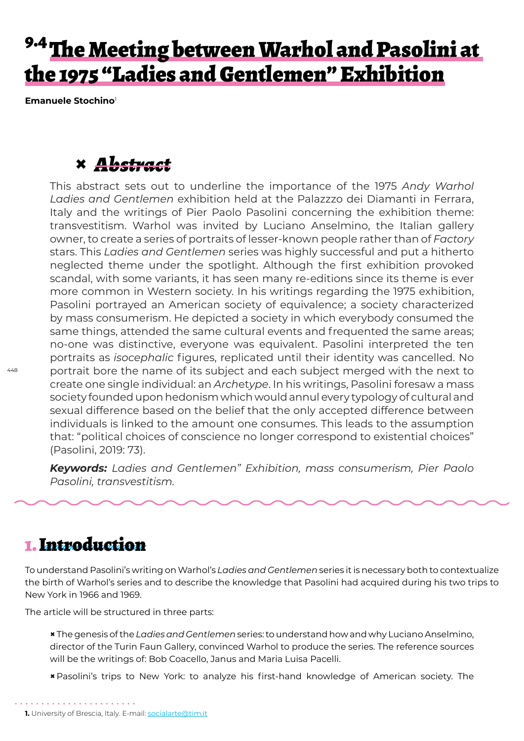## <sup>9.4</sup> The Meeting between Warhol and Pasolini at the 1975 "Ladies and Gentlemen" Exhibition

**Emanuele Stochino**<sup>1</sup>

#### **×** *Abstract*

This abstract sets out to underline the importance of the 1975 *Andy Warhol Ladies and Gentlemen* exhibition held at the Palazzzo dei Diamanti in Ferrara, Italy and the writings of Pier Paolo Pasolini concerning the exhibition theme: transvestitism. Warhol was invited by Luciano Anselmino, the Italian gallery owner, to create a series of portraits of lesser-known people rather than of *Factory* stars. This *Ladies and Gentlemen* series was highly successful and put a hitherto neglected theme under the spotlight. Although the first exhibition provoked scandal, with some variants, it has seen many re-editions since its theme is ever more common in Western society. In his writings regarding the 1975 exhibition, Pasolini portrayed an American society of equivalence; a society characterized by mass consumerism. He depicted a society in which everybody consumed the same things, attended the same cultural events and frequented the same areas; no-one was distinctive, everyone was equivalent. Pasolini interpreted the ten portraits as *isocephalic* figures, replicated until their identity was cancelled. No portrait bore the name of its subject and each subject merged with the next to create one single individual: an *Arch*et*ype*. In his writings, Pasolini foresaw a mass society founded upon hedonism which would annul every typology of cultural and sexual difference based on the belief that the only accepted difference between individuals is linked to the amount one consumes. This leads to the assumption that: "political choices of conscience no longer correspond to existential choices" (Pasolini, 2019: 73).

*Keywords: Ladies and Gentlemen" Exhibition, mass consumerism, Pier Paolo Pasolini, transvestitism.*

#### 1. Introduction

To understand Pasolini's writing on Warhol's *Ladies and Gentlemen* series it is necessary both to contextualize the birth of Warhol's series and to describe the knowledge that Pasolini had acquired during his two trips to New York in 1966 and 1969.

The article will be structured in three parts:

**×** The genesis of the *Ladies and Gentlemen* series: to understand how and why Luciano Anselmino, director of the Turin Faun Gallery, convinced Warhol to produce the series. The reference sources will be the writings of: Bob Coacello, Janus and Maria Luisa Pacelli.

**×** Pasolini's trips to New York: to analyze his first-hand knowledge of American society. The

<sup>1.</sup> University of Brescia, Italy. E-mail: socialarte@tim.it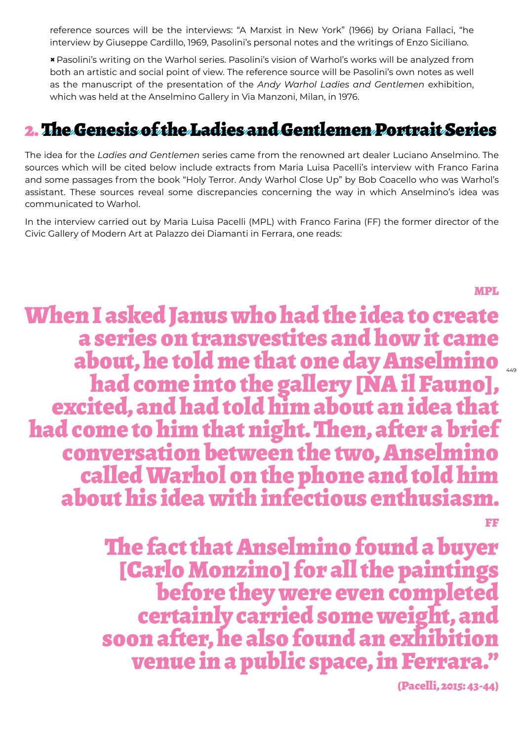reference sources will be the interviews: "A Marxist in New York" (1966) by Oriana Fallaci, "he interview by Giuseppe Cardillo, 1969, Pasolini's personal notes and the writings of Enzo Siciliano.

**×** Pasolini's writing on the Warhol series. Pasolini's vision of Warhol's works will be analyzed from both an artistic and social point of view. The reference source will be Pasolini's own notes as well as the manuscript of the presentation of the *Andy Warhol Ladies and Gentlemen* exhibition, which was held at the Anselmino Gallery in Via Manzoni, Milan, in 1976.

### 2. The Genesis of the Ladies and Gentlemen Portrait Series

The idea for the *Ladies and Gentlemen* series came from the renowned art dealer Luciano Anselmino. The sources which will be cited below include extracts from Maria Luisa Pacelli's interview with Franco Farina and some passages from the book "Holy Terror. Andy Warhol Close Up" by Bob Coacello who was Warhol's assistant. These sources reveal some discrepancies concerning the way in which Anselmino's idea was communicated to Warhol.

In the interview carried out by Maria Luisa Pacelli (MPL) with Franco Farina (FF) the former director of the Civic Gallery of Modern Art at Palazzo dei Diamanti in Ferrara, one reads:

MPL

about, he told me that one day Anselmino When I asked Janus who had the idea to create a series on transvestites and how it came had come into the gallery [NA il Fauno], excited, and had told him about an idea that had come to him that night. Then, after a brief conversation between the two, Anselmino called Warhol on the phone and told him about his idea with infectious enthusiasm. FF

> The fact that Anselmino found a buyer<br>[Carlo Monzino] for all the paintings before they were even completed<br>certainly carried some weight, and soon after, he also found an exhibition venue in a public space, in Ferrara."

> > (Pacelli, 2015: 43-44)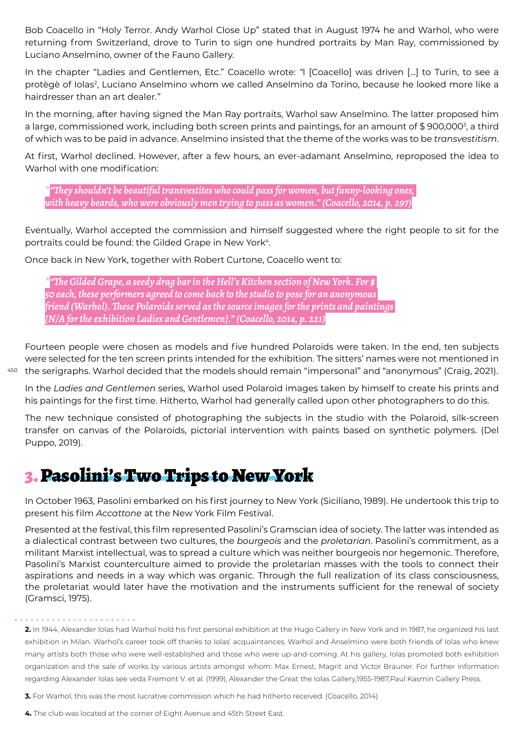Bob Coacello in "Holy Terror. Andy Warhol Close Up" stated that in August 1974 he and Warhol, who were returning from Switzerland, drove to Turin to sign one hundred portraits by Man Ray, commissioned by Luciano Anselmino, owner of the Fauno Gallery.

In the chapter "Ladies and Gentlemen, Etc." Coacello wrote: *"*I [Coacello] was driven […] to Turin, to see a protègè of Iolas2, Luciano Anselmino whom we called Anselmino da Torino, because he looked more like a hairdresser than an art dealer*."*

In the morning, after having signed the Man Ray portraits, Warhol saw Anselmino. The latter proposed him a large, commissioned work, including both screen prints and paintings, for an amount of \$ 900,000<sup>3</sup> , a third of which was to be paid in advance. Anselmino insisted that the theme of the works was to be *transvestitism*.

At first, Warhol declined. However, after a few hours, an ever-adamant Anselmino, reproposed the idea to Warhol with one modification:

*\*"They shouldn't be beautiful transvestites who could pass for women, but funny-looking ones, with heavy beards, who were obviously men trying to pass as women." (Coacello, 2014, p. 297)*

Eventually, Warhol accepted the commission and himself suggested where the right people to sit for the portraits could be found: the Gilded Grape in New York<sup>4</sup>.

Once back in New York, together with Robert Curtone, Coacello went to:

*\*"The Gilded Grape, a seedy drag bar in the Hell's Kitchen section of New York. For \$ 50 each, these performers agreed to come back to the studio to pose for an anonymous friend (Warhol). These Polaroids served as the source images for the prints and paintings [N/A for the exhibition Ladies and Gentlemen]." (Coacello, 2014, p. 221)*

450 the serigraphs. Warhol decided that the models should remain "impersonal" and "anonymous" (Craig, 2021). Fourteen people were chosen as models and five hundred Polaroids were taken. In the end, ten subjects were selected for the ten screen prints intended for the exhibition. The sitters' names were not mentioned in

In the *Ladies and Gentlemen* series, Warhol used Polaroid images taken by himself to create his prints and his paintings for the first time. Hitherto, Warhol had generally called upon other photographers to do this.

The new technique consisted of photographing the subjects in the studio with the Polaroid, silk-screen transfer on canvas of the Polaroids, pictorial intervention with paints based on synthetic polymers. (Del Puppo, 2019).

#### 3. Pasolini's Two Trips to New York

In October 1963, Pasolini embarked on his first journey to New York (Siciliano, 1989). He undertook this trip to present his film *Accattone* at the New York Film Festival.

Presented at the festival, this film represented Pasolini's Gramscian idea of society. The latter was intended as a dialectical contrast between two cultures, the *bourgeois* and the *prol*et*arian*. Pasolini's commitment, as a militant Marxist intellectual, was to spread a culture which was neither bourgeois nor hegemonic. Therefore, Pasolini's Marxist counterculture aimed to provide the proletarian masses with the tools to connect their aspirations and needs in a way which was organic. Through the full realization of its class consciousness, the proletariat would later have the motivation and the instruments sufficient for the renewal of society (Gramsci, 1975).

#### 

**2.** In 1944, Alexander Iolas had Warhol hold his first personal exhibition at the Hugo Gallery in New York and in 1987, he organized his last exhibition in Milan. Warhol's career took off thanks to Iolas' acquaintances. Warhol and Anselmino were both friends of Iolas who knew many artists both those who were well-established and those who were up-and-coming. At his gallery, Iolas promoted both exhibition organization and the sale of works by various artists amongst whom: Max Ernest, Magrit and Victor Brauner. For further information regarding Alexander Iolas see veda Fremont V. et al. (1999), Alexander the Great the Iolas Gallery,1955-1987[,Paul Kasmin Gallery](https://www.google.it/search?hl=it&q=inauthor:%22Paul+Kasmin+Gallery%22&tbm=bks) Press.

**3.** For Warhol, this was the most lucrative commission which he had hitherto received. (Coacello, 2014)

**4.** The club was located at the corner of Eight Avenue and 45th Street East.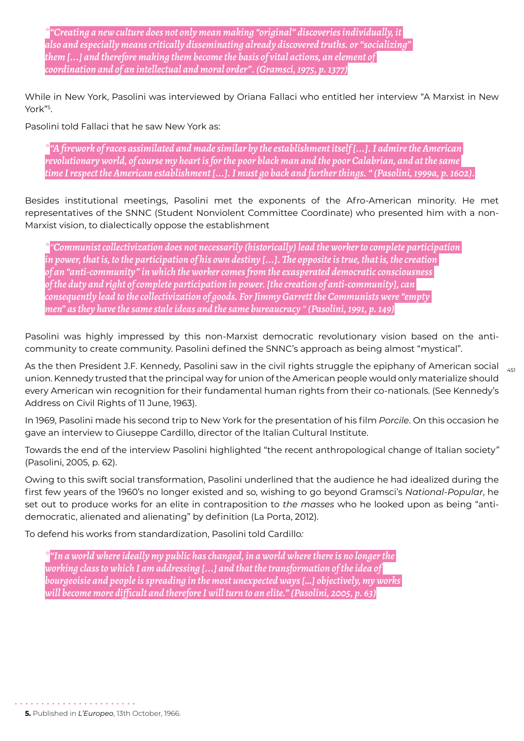*\*"Creating a new culture does not only mean making "original" discoveries individually, it also and especially means critically disseminating already discovered truths. or "socializing" them [...] and therefore making them become the basis of vital actions, an element of coordination and of an intellectual and moral order". (Gramsci, 1975, p. 1377)*

While in New York, Pasolini was interviewed by Oriana Fallaci who entitled her interview "A Marxist in New York"<sup>5</sup> .

Pasolini told Fallaci that he saw New York as:

*\*"A firework of races assimilated and made similar by the establishment itself [...]. I admire the American revolutionary world, of course my heart is for the poor black man and the poor Calabrian, and at the same time I respect the American establishment [...]. I must go back and further things. " (Pasolini, 1999a, p. 1602).*

Besides institutional meetings, Pasolini met the exponents of the Afro-American minority. He met representatives of the SNNC (Student Nonviolent Committee Coordinate) who presented him with a non-Marxist vision, to dialectically oppose the establishment

*\*"Communist collectivization does not necessarily (historically) lead the worker to complete participation in power, that is, to the participation of his own destiny [...]. The opposite is true, that is, the creation of an "anti-community" in which the worker comes from the exasperated democratic consciousness of the duty and right of complete participation in power. [the creation of anti-community], can consequently lead to the collectivization of goods. For Jimmy Garrett the Communists were "empty men" as they have the same stale ideas and the same bureaucracy " (Pasolini, 1991, p. 149)*

Pasolini was highly impressed by this non-Marxist democratic revolutionary vision based on the anticommunity to create community. Pasolini defined the SNNC's approach as being almost "mystical".

As the then President J.F. Kennedy, Pasolini saw in the civil rights struggle the epiphany of American social  $\;\;_{_{45\parallel}}$ union. Kennedy trusted that the principal way for union of the American people would only materialize should every American win recognition for their fundamental human rights from their co-nationals. (See Kennedy's Address on Civil Rights of 11 June, 1963).

In 1969, Pasolini made his second trip to New York for the presentation of his film *Porcile*. On this occasion he gave an interview to Giuseppe Cardillo, director of the Italian Cultural Institute.

Towards the end of the interview Pasolini highlighted "the recent anthropological change of Italian society*"*  (Pasolini, 2005, p. 62).

Owing to this swift social transformation, Pasolini underlined that the audience he had idealized during the first few years of the 1960's no longer existed and so, wishing to go beyond Gramsci's *National-Popular*, he set out to produce works for an elite in contraposition to *the masses* who he looked upon as being "antidemocratic, alienated and alienating" by definition (La Porta, 2012).

To defend his works from standardization, Pasolini told Cardillo*:*

*\*"In a world where ideally my public has changed, in a world where there is no longer the working class to which I am addressing [...] and that the transformation of the idea of bourgeoisie and people is spreading in the most unexpected ways […] objectively, my works will become more difficult and therefore I will turn to an elite." (Pasolini, 2005, p. 63)*

**5.** Published in *L'Europeo*, 13th October, 1966.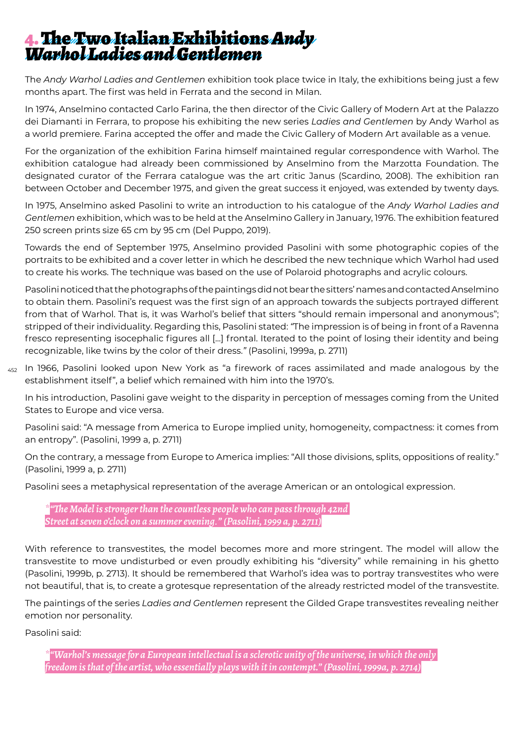# 4. The Two Italian Exhibitions *Andy Warhol Ladies and Gentlemen*

The *Andy Warhol Ladies and Gentlemen* exhibition took place twice in Italy, the exhibitions being just a few months apart. The first was held in Ferrata and the second in Milan.

In 1974, Anselmino contacted Carlo Farina, the then director of the Civic Gallery of Modern Art at the Palazzo dei Diamanti in Ferrara, to propose his exhibiting the new series *Ladies and Gentlemen* by Andy Warhol as a world premiere. Farina accepted the offer and made the Civic Gallery of Modern Art available as a venue.

For the organization of the exhibition Farina himself maintained regular correspondence with Warhol. The exhibition catalogue had already been commissioned by Anselmino from the Marzotta Foundation. The designated curator of the Ferrara catalogue was the art critic Janus (Scardino, 2008). The exhibition ran between October and December 1975, and given the great success it enjoyed, was extended by twenty days.

In 1975, Anselmino asked Pasolini to write an introduction to his catalogue of the *Andy Warhol Ladies and Gentlemen* exhibition, which was to be held at the Anselmino Gallery in January, 1976. The exhibition featured 250 screen prints size 65 cm by 95 cm (Del Puppo, 2019).

Towards the end of September 1975, Anselmino provided Pasolini with some photographic copies of the portraits to be exhibited and a cover letter in which he described the new technique which Warhol had used to create his works. The technique was based on the use of Polaroid photographs and acrylic colours.

Pasolini noticed that the photographs of the paintings did not bear the sitters' names and contacted Anselmino to obtain them. Pasolini's request was the first sign of an approach towards the subjects portrayed different from that of Warhol. That is, it was Warhol's belief that sitters "should remain impersonal and anonymous"; stripped of their individuality. Regarding this, Pasolini stated: *"*The impression is of being in front of a Ravenna fresco representing isocephalic figures all [...] frontal. Iterated to the point of losing their identity and being recognizable, like twins by the color of their dress.*"* (Pasolini, 1999a, p. 2711)

452 In 1966, Pasolini looked upon New York as "a firework of races assimilated and made analogous by the establishment itself", a belief which remained with him into the 1970's.

In his introduction, Pasolini gave weight to the disparity in perception of messages coming from the United States to Europe and vice versa.

Pasolini said: "A message from America to Europe implied unity, homogeneity, compactness: it comes from an entropy". (Pasolini, 1999 a, p. 2711)

On the contrary, a message from Europe to America implies: "All those divisions, splits, oppositions of reality*.*" (Pasolini, 1999 a, p. 2711)

Pasolini sees a metaphysical representation of the average American or an ontological expression.

*\*"The Model is stronger than the countless people who can pass through 42nd Street at seven o'clock on a summer evening." (Pasolini, 1999 a, p. 2711)*

With reference to transvestites, the model becomes more and more stringent. The model will allow the transvestite to move undisturbed or even proudly exhibiting his "diversity" while remaining in his ghetto (Pasolini, 1999b, p. 2713). It should be remembered that Warhol's idea was to portray transvestites who were not beautiful, that is, to create a grotesque representation of the already restricted model of the transvestite.

The paintings of the series *Ladies and Gentlemen* represent the Gilded Grape transvestites revealing neither emotion nor personality.

Pasolini said:

*\*"Warhol's message for a European intellectual is a sclerotic unity of the universe, in which the only freedom is that of the artist, who essentially plays with it in contempt." (Pasolini, 1999a, p. 2714)*